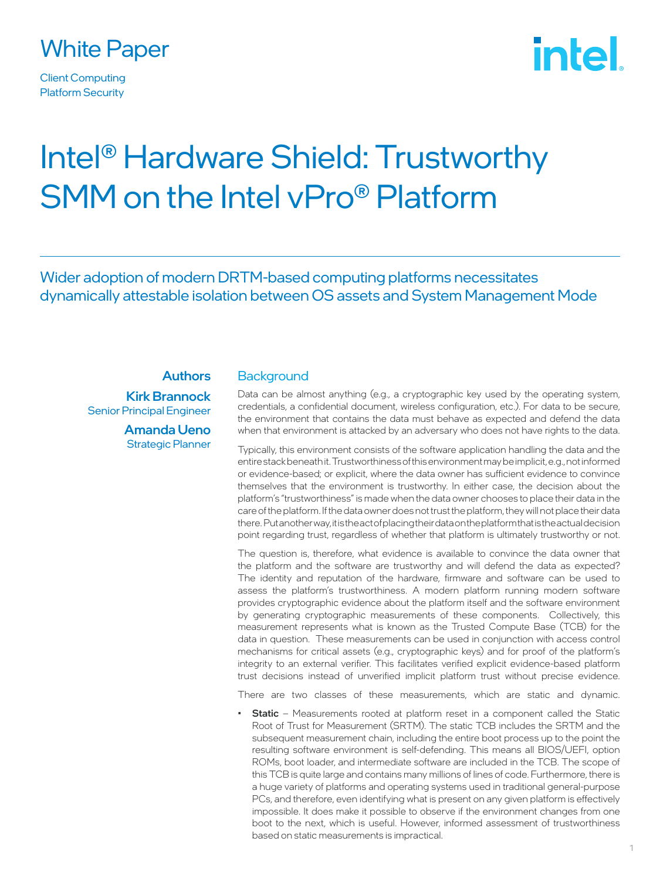

Client Computing Platform Security

# intel.

# Intel® Hardware Shield: Trustworthy SMM on the Intel vPro® Platform

Wider adoption of modern DRTM-based computing platforms necessitates dynamically attestable isolation between OS assets and System Management Mode

#### **Authors**

Kirk Brannock Senior Principal Engineer

> Amanda Ueno Strategic Planner

#### **Background**

Data can be almost anything (e.g., a cryptographic key used by the operating system, credentials, a confidential document, wireless configuration, etc.). For data to be secure, the environment that contains the data must behave as expected and defend the data when that environment is attacked by an adversary who does not have rights to the data.

Typically, this environment consists of the software application handling the data and the entire stack beneath it. Trustworthiness of this environment may be implicit, e.g., not informed or evidence-based; or explicit, where the data owner has sufficient evidence to convince themselves that the environment is trustworthy. In either case, the decision about the platform's "trustworthiness" is made when the data owner chooses to place their data in the care of the platform. If the data owner does not trust the platform, they will not place their data there. Put another way, it is the act of placing their data on the platform that is the actual decision point regarding trust, regardless of whether that platform is ultimately trustworthy or not.

The question is, therefore, what evidence is available to convince the data owner that the platform and the software are trustworthy and will defend the data as expected? The identity and reputation of the hardware, firmware and software can be used to assess the platform's trustworthiness. A modern platform running modern software provides cryptographic evidence about the platform itself and the software environment by generating cryptographic measurements of these components. Collectively, this measurement represents what is known as the Trusted Compute Base (TCB) for the data in question. These measurements can be used in conjunction with access control mechanisms for critical assets (e.g., cryptographic keys) and for proof of the platform's integrity to an external verifier. This facilitates verified explicit evidence-based platform trust decisions instead of unverified implicit platform trust without precise evidence.

There are two classes of these measurements, which are static and dynamic.

Static - Measurements rooted at platform reset in a component called the Static Root of Trust for Measurement (SRTM). The static TCB includes the SRTM and the subsequent measurement chain, including the entire boot process up to the point the resulting software environment is self-defending. This means all BIOS/UEFI, option ROMs, boot loader, and intermediate software are included in the TCB. The scope of this TCB is quite large and contains many millions of lines of code. Furthermore, there is a huge variety of platforms and operating systems used in traditional general-purpose PCs, and therefore, even identifying what is present on any given platform is effectively impossible. It does make it possible to observe if the environment changes from one boot to the next, which is useful. However, informed assessment of trustworthiness based on static measurements is impractical.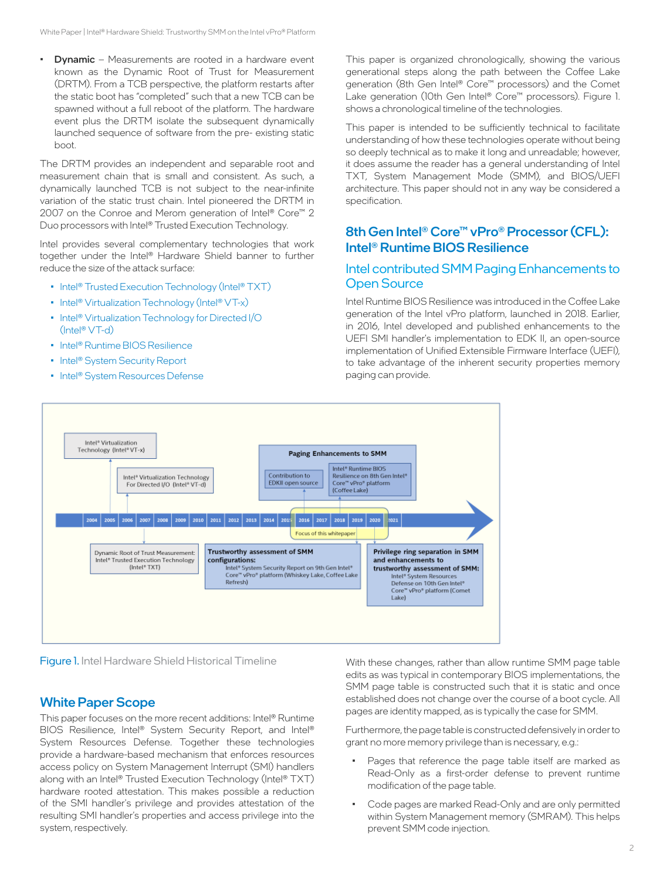• Dynamic – Measurements are rooted in a hardware event known as the Dynamic Root of Trust for Measurement (DRTM). From a TCB perspective, the platform restarts after the static boot has "completed" such that a new TCB can be spawned without a full reboot of the platform. The hardware event plus the DRTM isolate the subsequent dynamically launched sequence of software from the pre- existing static boot.

The DRTM provides an independent and separable root and measurement chain that is small and consistent. As such, a dynamically launched TCB is not subject to the near-infinite variation of the static trust chain. Intel pioneered the DRTM in 2007 on the Conroe and Merom generation of Intel® Core™ 2 Duo processors with Intel® Trusted Execution Technology.

Intel provides several complementary technologies that work together under the Intel® Hardware Shield banner to further reduce the size of the attack surface:

- Intel<sup>®</sup> Trusted Execution Technology (Intel<sup>®</sup> TXT)
- Intel<sup>®</sup> Virtualization Technology (Intel<sup>®</sup> VT-x)
- Intel® Virtualization Technology for Directed I/O (Intel® VT-d)
- Intel® Runtime BIOS Resilience
- Intel<sup>®</sup> System Security Report
- Intel® System Resources Defense

This paper is organized chronologically, showing the various generational steps along the path between the Coffee Lake generation (8th Gen Intel® Core™ processors) and the Comet Lake generation (10th Gen Intel® Core™ processors). Figure 1. shows a chronological timeline of the technologies.

This paper is intended to be sufficiently technical to facilitate understanding of how these technologies operate without being so deeply technical as to make it long and unreadable; however, it does assume the reader has a general understanding of Intel TXT, System Management Mode (SMM), and BIOS/UEFI architecture. This paper should not in any way be considered a specification.

# 8th Gen Intel® Core™ vPro® Processor (CFL): Intel® Runtime BIOS Resilience

# Intel contributed SMM Paging Enhancements to Open Source

Intel Runtime BIOS Resilience was introduced in the Coffee Lake generation of the Intel vPro platform, launched in 2018. Earlier, in 2016, Intel developed and published enhancements to the UEFI SMI handler's implementation to EDK II, an open-source implementation of Unified Extensible Firmware Interface (UEFI), to take advantage of the inherent security properties memory paging can provide.



Figure 1. Intel Hardware Shield Historical Timeline

#### White Paper Scope

This paper focuses on the more recent additions: Intel® Runtime BIOS Resilience, Intel® System Security Report, and Intel® System Resources Defense. Together these technologies provide a hardware-based mechanism that enforces resources access policy on System Management Interrupt (SMI) handlers along with an Intel® Trusted Execution Technology (Intel® TXT) hardware rooted attestation. This makes possible a reduction of the SMI handler's privilege and provides attestation of the resulting SMI handler's properties and access privilege into the system, respectively.

With these changes, rather than allow runtime SMM page table edits as was typical in contemporary BIOS implementations, the SMM page table is constructed such that it is static and once established does not change over the course of a boot cycle. All pages are identity mapped, as is typically the case for SMM.

Furthermore, the page table is constructed defensively in order to grant no more memory privilege than is necessary, e.g.:

- Pages that reference the page table itself are marked as Read-Only as a first-order defense to prevent runtime modification of the page table.
- Code pages are marked Read-Only and are only permitted within System Management memory (SMRAM). This helps prevent SMM code injection.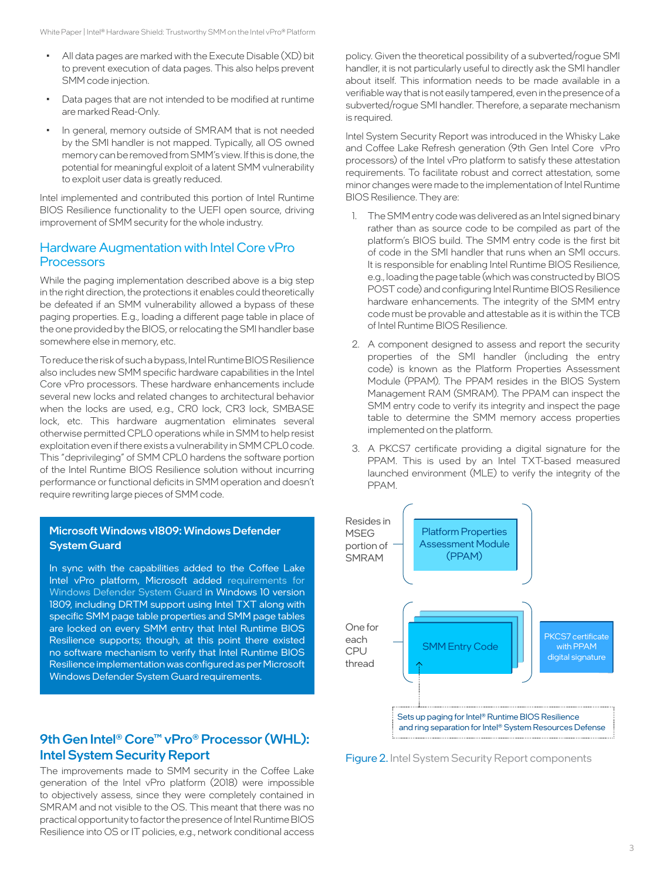- All data pages are marked with the Execute Disable (XD) bit to prevent execution of data pages. This also helps prevent SMM code injection.
- Data pages that are not intended to be modified at runtime are marked Read-Only.
- In general, memory outside of SMRAM that is not needed by the SMI handler is not mapped. Typically, all OS owned memory can be removed from SMM's view. If this is done, the potential for meaningful exploit of a latent SMM vulnerability to exploit user data is greatly reduced.

Intel implemented and contributed this portion of Intel Runtime BIOS Resilience functionality to the UEFI open source, driving improvement of SMM security for the whole industry.

# Hardware Augmentation with Intel Core vPro **Processors**

While the paging implementation described above is a big step in the right direction, the protections it enables could theoretically be defeated if an SMM vulnerability allowed a bypass of these paging properties. E.g., loading a different page table in place of the one provided by the BIOS, or relocating the SMI handler base somewhere else in memory, etc.

To reduce the risk of such a bypass, Intel Runtime BIOS Resilience also includes new SMM specific hardware capabilities in the Intel Core vPro processors. These hardware enhancements include several new locks and related changes to architectural behavior when the locks are used, e.g., CR0 lock, CR3 lock, SMBASE lock, etc. This hardware augmentation eliminates several otherwise permitted CPL0 operations while in SMM to help resist exploitation even if there exists a vulnerability in SMM CPL0 code. This "deprivileging" of SMM CPL0 hardens the software portion of the Intel Runtime BIOS Resilience solution without incurring performance or functional deficits in SMM operation and doesn't require rewriting large pieces of SMM code.

#### Microsoft Windows v1809: Windows Defender System Guard

In sync with the capabilities added to the Coffee Lake Intel vPro platform, Microsoft added requirements for Windows Defender System Guard in Windows 10 version 1809, including DRTM support using Intel TXT along with specific SMM page table properties and SMM page tables are locked on every SMM entry that Intel Runtime BIOS Resilience supports; though, at this point there existed no software mechanism to verify that Intel Runtime BIOS Resilience implementation was configured as per Microsoft Windows Defender System Guard requirements.

# 9th Gen Intel® Core™ vPro® Processor (WHL): Intel System Security Report

The improvements made to SMM security in the Coffee Lake generation of the Intel vPro platform (2018) were impossible to objectively assess, since they were completely contained in SMRAM and not visible to the OS. This meant that there was no practical opportunity to factor the presence of Intel Runtime BIOS Resilience into OS or IT policies, e.g., network conditional access policy. Given the theoretical possibility of a subverted/rogue SMI handler, it is not particularly useful to directly ask the SMI handler about itself. This information needs to be made available in a verifiable way that is not easily tampered, even in the presence of a subverted/rogue SMI handler. Therefore, a separate mechanism is required.

Intel System Security Report was introduced in the Whisky Lake and Coffee Lake Refresh generation (9th Gen Intel Core vPro processors) of the Intel vPro platform to satisfy these attestation requirements. To facilitate robust and correct attestation, some minor changes were made to the implementation of Intel Runtime BIOS Resilience. They are:

- 1. The SMM entry code was delivered as an Intel signed binary rather than as source code to be compiled as part of the platform's BIOS build. The SMM entry code is the first bit of code in the SMI handler that runs when an SMI occurs. It is responsible for enabling Intel Runtime BIOS Resilience, e.g., loading the page table (which was constructed by BIOS POST code) and configuring Intel Runtime BIOS Resilience hardware enhancements. The integrity of the SMM entry code must be provable and attestable as it is within the TCB of Intel Runtime BIOS Resilience.
- 2. A component designed to assess and report the security properties of the SMI handler (including the entry code) is known as the Platform Properties Assessment Module (PPAM). The PPAM resides in the BIOS System Management RAM (SMRAM). The PPAM can inspect the SMM entry code to verify its integrity and inspect the page table to determine the SMM memory access properties implemented on the platform.
- 3. A PKCS7 certificate providing a digital signature for the PPAM. This is used by an Intel TXT-based measured launched environment (MLE) to verify the integrity of the PPAM.



Figure 2. Intel System Security Report components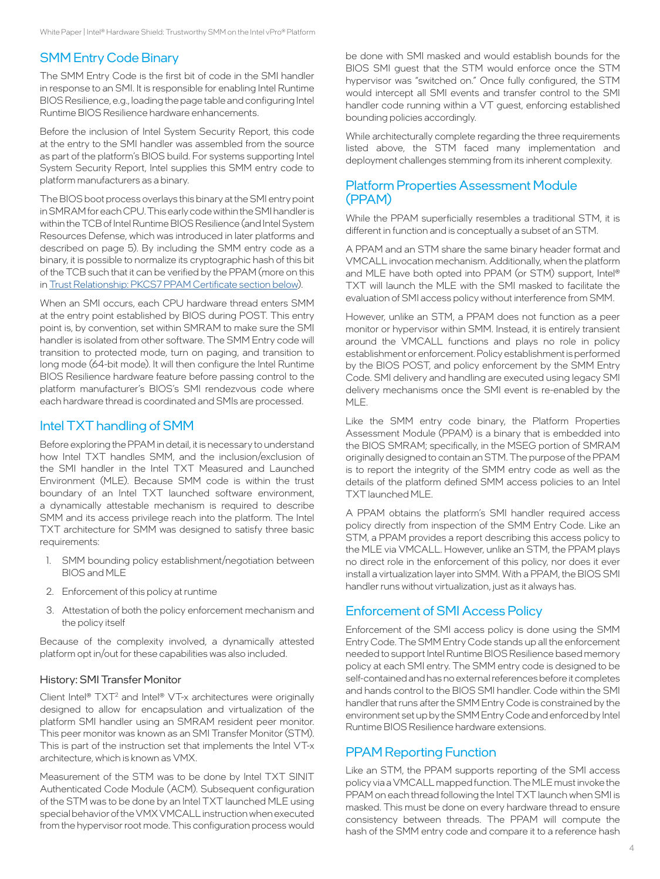# SMM Entry Code Binary

The SMM Entry Code is the first bit of code in the SMI handler in response to an SMI. It is responsible for enabling Intel Runtime BIOS Resilience, e.g., loading the page table and configuring Intel Runtime BIOS Resilience hardware enhancements.

Before the inclusion of Intel System Security Report, this code at the entry to the SMI handler was assembled from the source as part of the platform's BIOS build. For systems supporting Intel System Security Report, Intel supplies this SMM entry code to platform manufacturers as a binary.

The BIOS boot process overlays this binary at the SMI entry point in SMRAM for each CPU. This early code within the SMI handler is within the TCB of Intel Runtime BIOS Resilience (and Intel System Resources Defense, which was introduced in later platforms and described on page 5). By including the SMM entry code as a binary, it is possible to normalize its cryptographic hash of this bit of the TCB such that it can be verified by the PPAM (more on this in [Trust Relationship: PKCS7 PPAM Certificate section below\)](#page-4-0).

When an SMI occurs, each CPU hardware thread enters SMM at the entry point established by BIOS during POST. This entry point is, by convention, set within SMRAM to make sure the SMI handler is isolated from other software. The SMM Entry code will transition to protected mode, turn on paging, and transition to long mode (64-bit mode). It will then configure the Intel Runtime BIOS Resilience hardware feature before passing control to the platform manufacturer's BIOS's SMI rendezvous code where each hardware thread is coordinated and SMIs are processed.

# Intel TXT handling of SMM

Before exploring the PPAM in detail, it is necessary to understand how Intel TXT handles SMM, and the inclusion/exclusion of the SMI handler in the Intel TXT Measured and Launched Environment (MLE). Because SMM code is within the trust boundary of an Intel TXT launched software environment, a dynamically attestable mechanism is required to describe SMM and its access privilege reach into the platform. The Intel TXT architecture for SMM was designed to satisfy three basic requirements:

- 1. SMM bounding policy establishment/negotiation between BIOS and MLE
- 2. Enforcement of this policy at runtime
- 3. Attestation of both the policy enforcement mechanism and the policy itself

Because of the complexity involved, a dynamically attested platform opt in/out for these capabilities was also included.

#### History: SMI Transfer Monitor

Client Intel<sup>®</sup>  $TXT<sup>2</sup>$  and Intel® VT-x architectures were originally designed to allow for encapsulation and virtualization of the platform SMI handler using an SMRAM resident peer monitor. This peer monitor was known as an SMI Transfer Monitor (STM). This is part of the instruction set that implements the Intel VT-x architecture, which is known as VMX.

Measurement of the STM was to be done by Intel TXT SINIT Authenticated Code Module (ACM). Subsequent configuration of the STM was to be done by an Intel TXT launched MLE using special behavior of the VMX VMCALL instruction when executed from the hypervisor root mode. This configuration process would

be done with SMI masked and would establish bounds for the BIOS SMI guest that the STM would enforce once the STM hypervisor was "switched on." Once fully configured, the STM would intercept all SMI events and transfer control to the SMI handler code running within a VT guest, enforcing established bounding policies accordingly.

While architecturally complete regarding the three requirements listed above, the STM faced many implementation and deployment challenges stemming from its inherent complexity.

# Platform Properties Assessment Module (PPAM)

While the PPAM superficially resembles a traditional STM, it is different in function and is conceptually a subset of an STM.

A PPAM and an STM share the same binary header format and VMCALL invocation mechanism. Additionally, when the platform and MLE have both opted into PPAM (or STM) support, Intel® TXT will launch the MLE with the SMI masked to facilitate the evaluation of SMI access policy without interference from SMM.

However, unlike an STM, a PPAM does not function as a peer monitor or hypervisor within SMM. Instead, it is entirely transient around the VMCALL functions and plays no role in policy establishment or enforcement. Policy establishment is performed by the BIOS POST, and policy enforcement by the SMM Entry Code. SMI delivery and handling are executed using legacy SMI delivery mechanisms once the SMI event is re-enabled by the MLE.

Like the SMM entry code binary, the Platform Properties Assessment Module (PPAM) is a binary that is embedded into the BIOS SMRAM; specifically, in the MSEG portion of SMRAM originally designed to contain an STM. The purpose of the PPAM is to report the integrity of the SMM entry code as well as the details of the platform defined SMM access policies to an Intel TXT launched MLE.

A PPAM obtains the platform's SMI handler required access policy directly from inspection of the SMM Entry Code. Like an STM, a PPAM provides a report describing this access policy to the MLE via VMCALL. However, unlike an STM, the PPAM plays no direct role in the enforcement of this policy, nor does it ever install a virtualization layer into SMM. With a PPAM, the BIOS SMI handler runs without virtualization, just as it always has.

# Enforcement of SMI Access Policy

Enforcement of the SMI access policy is done using the SMM Entry Code. The SMM Entry Code stands up all the enforcement needed to support Intel Runtime BIOS Resilience based memory policy at each SMI entry. The SMM entry code is designed to be self-contained and has no external references before it completes and hands control to the BIOS SMI handler. Code within the SMI handler that runs after the SMM Entry Code is constrained by the environment set up by the SMM Entry Code and enforced by Intel Runtime BIOS Resilience hardware extensions.

# PPAM Reporting Function

Like an STM, the PPAM supports reporting of the SMI access policy via a VMCALL mapped function. The MLE must invoke the PPAM on each thread following the Intel TXT launch when SMI is masked. This must be done on every hardware thread to ensure consistency between threads. The PPAM will compute the hash of the SMM entry code and compare it to a reference hash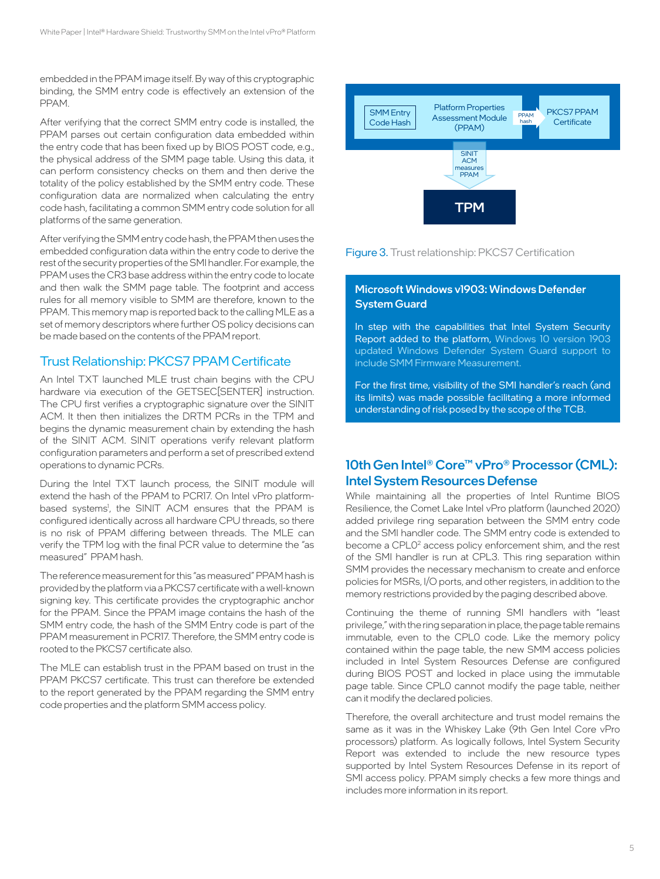embedded in the PPAM image itself. By way of this cryptographic binding, the SMM entry code is effectively an extension of the PPAM.

After verifying that the correct SMM entry code is installed, the PPAM parses out certain configuration data embedded within the entry code that has been fixed up by BIOS POST code, e.g., the physical address of the SMM page table. Using this data, it can perform consistency checks on them and then derive the totality of the policy established by the SMM entry code. These configuration data are normalized when calculating the entry code hash, facilitating a common SMM entry code solution for all platforms of the same generation.

After verifying the SMM entry code hash, the PPAM then uses the embedded configuration data within the entry code to derive the rest of the security properties of the SMI handler. For example, the PPAM uses the CR3 base address within the entry code to locate and then walk the SMM page table. The footprint and access rules for all memory visible to SMM are therefore, known to the PPAM. This memory map is reported back to the calling MLE as a set of memory descriptors where further OS policy decisions can be made based on the contents of the PPAM report.

# Trust Relationship: PKCS7 PPAM Certificate

An Intel TXT launched MLE trust chain begins with the CPU hardware via execution of the GETSEC[SENTER] instruction. The CPU first verifies a cryptographic signature over the SINIT ACM. It then then initializes the DRTM PCRs in the TPM and begins the dynamic measurement chain by extending the hash of the SINIT ACM. SINIT operations verify relevant platform configuration parameters and perform a set of prescribed extend operations to dynamic PCRs.

During the Intel TXT launch process, the SINIT module will extend the hash of the PPAM to PCR17. On Intel vPro platformbased systems<sup>1</sup>, the SINIT ACM ensures that the PPAM is configured identically across all hardware CPU threads, so there is no risk of PPAM differing between threads. The MLE can verify the TPM log with the final PCR value to determine the "as measured" PPAM hash.

The reference measurement for this "as measured" PPAM hash is provided by the platform via a PKCS7 certificate with a well-known signing key. This certificate provides the cryptographic anchor for the PPAM. Since the PPAM image contains the hash of the SMM entry code, the hash of the SMM Entry code is part of the PPAM measurement in PCR17. Therefore, the SMM entry code is rooted to the PKCS7 certificate also.

The MLE can establish trust in the PPAM based on trust in the PPAM PKCS7 certificate. This trust can therefore be extended to the report generated by the PPAM regarding the SMM entry code properties and the platform SMM access policy.



<span id="page-4-0"></span>

#### Microsoft Windows v1903: Windows Defender System Guard

In step with the capabilities that Intel System Security Report added to the platform, Windows 10 version 1903 updated Windows Defender System Guard support to include SMM Firmware Measurement.

For the first time, visibility of the SMI handler's reach (and its limits) was made possible facilitating a more informed understanding of risk posed by the scope of the TCB.

# 10th Gen Intel® Core™ vPro® Processor (CML): Intel System Resources Defense

While maintaining all the properties of Intel Runtime BIOS Resilience, the Comet Lake Intel vPro platform (launched 2020) added privilege ring separation between the SMM entry code and the SMI handler code. The SMM entry code is extended to become a CPLO<sup>2</sup> access policy enforcement shim, and the rest of the SMI handler is run at CPL3. This ring separation within SMM provides the necessary mechanism to create and enforce policies for MSRs, I/O ports, and other registers, in addition to the memory restrictions provided by the paging described above.

Continuing the theme of running SMI handlers with "least privilege," with the ring separation in place, the page table remains immutable, even to the CPL0 code. Like the memory policy contained within the page table, the new SMM access policies included in Intel System Resources Defense are configured during BIOS POST and locked in place using the immutable page table. Since CPL0 cannot modify the page table, neither can it modify the declared policies.

Therefore, the overall architecture and trust model remains the same as it was in the Whiskey Lake (9th Gen Intel Core vPro processors) platform. As logically follows, Intel System Security Report was extended to include the new resource types supported by Intel System Resources Defense in its report of SMI access policy. PPAM simply checks a few more things and includes more information in its report.